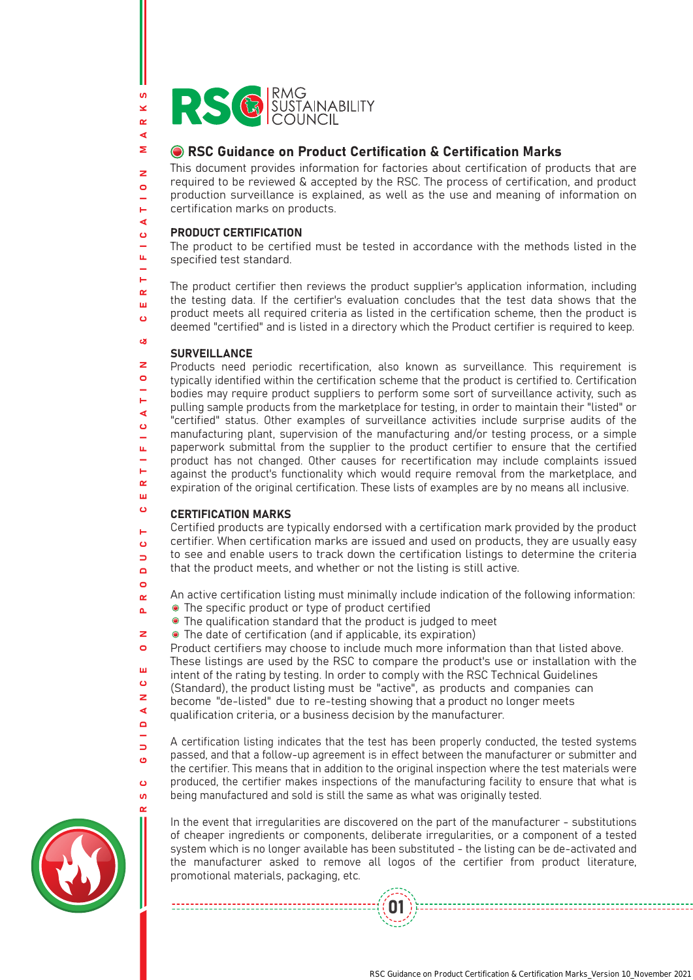

# RSC Guidance on Product Certification & Certification Marks

This document provides information for factories about certification of products that are required to be reviewed & accepted by the RSC. The process of certification, and product production surveillance is explained, as well as the use and meaning of information on certification marks on products.

#### ∢ PRODUCT CERTIFICATION  $\ddot{\mathbf{c}}$

ທ. ×.  $\alpha$ k.  $\overline{\mathbf{z}}$ 

 $\overline{z}$  $\bullet$ Ë

Щ  $\overline{\phantom{0}}$ н  $\alpha$ ш  $\ddot{\mathbf{c}}$ 

ø

 $\mathbf{z}$  $\circ$  $\vdash$  $\blacktriangleleft$  $\ddot{\mathbf{c}}$ u. ц.  $\alpha$ m.

 $\vdash$  $\bullet$  $\overline{\phantom{0}}$  $\Box$  $\circ$  $\alpha$  $\Delta$  $\overline{z}$  $\circ$ ш  $\ddot{\mathbf{c}}$  $\overline{z}$  $\blacktriangleleft$  $\Omega$ 

 $\Rightarrow$  $\ddot{\mathbf{c}}$  $\ddot{\mathbf{o}}$  The product to be certified must be tested in accordance with the methods listed in the specified test standard.

The product certifier then reviews the product supplier's application information, including the testing data. If the certifier's evaluation concludes that the test data shows that the product meets all required criteria as listed in the certification scheme, then the product is deemed "certified" and is listed in a directory which the Product certifier is required to keep.

# **SURVEILLANCE**

Products need periodic recertification, also known as surveillance. This requirement is typically identified within the certification scheme that the product is certified to. Certification bodies may require product suppliers to perform some sort of surveillance activity, such as pulling sample products from the marketplace for testing, in order to maintain their "listed" or "certified" status. Other examples of surveillance activities include surprise audits of the manufacturing plant, supervision of the manufacturing and/or testing process, or a simple paperwork submittal from the supplier to the product certifier to ensure that the certified product has not changed. Other causes for recertification may include complaints issued against the product's functionality which would require removal from the marketplace, and expiration of the original certification. These lists of examples are by no means all inclusive.

#### $\sigma$ CERTIFICATION MARKS

--------------------------

Certified products are typically endorsed with a certification mark provided by the product certifier. When certification marks are issued and used on products, they are usually easy to see and enable users to track down the certification listings to determine the criteria that the product meets, and whether or not the listing is still active.

An active certification listing must minimally include indication of the following information: The specific product or type of product certified

The qualification standard that the product is judged to meet

The date of certification (and if applicable, its expiration)

Product certifiers may choose to include much more information than that listed above. These listings are used by the RSC to compare the product's use or installation with the intent of the rating by testing. In order to comply with the RSC Technical Guidelines

- (Standard), the product listing must be "active", as products and companies can
- become "de-listed" due to re-testing showing that a product no longer meets
- qualification criteria, or a business decision by the manufacturer.

A certification listing indicates that the test has been properly conducted, the tested systems passed, and that a follow-up agreement is in effect between the manufacturer or submitter and the certifier. This means that in addition to the original inspection where the test materials were produced, the certifier makes inspections of the manufacturing facility to ensure that what is being manufactured and sold is still the same as what was originally tested.

In the event that irregularities are discovered on the part of the manufacturer - substitutions of cheaper ingredients or components, deliberate irregularities, or a component of a tested system which is no longer available has been substituted - the listing can be de-activated and the manufacturer asked to remove all logos of the certifier from product literature, promotional materials, packaging, etc.

01